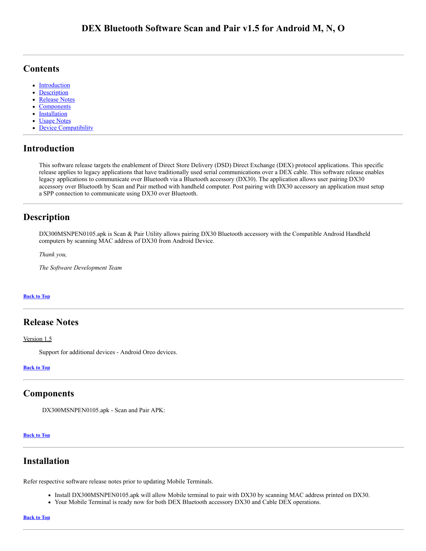## <span id="page-0-5"></span>**Contents**

- [Introduction](#page-0-0)
- [Description](#page-0-1)
- [Release Notes](#page-0-2)  $\bullet$
- **[Components](#page-0-3)**  $\bullet$
- $\bullet$ **[Installation](#page-0-4)**
- Usage Notes
- Device Compatibility

### <span id="page-0-0"></span>**Introduction**

This software release targets the enablement of Direct Store Delivery (DSD) Direct Exchange (DEX) protocol applications. This specific release applies to legacy applications that have traditionally used serial communications over a DEX cable. This software release enables legacy applications to communicate over Bluetooth via a Bluetooth accessory (DX30). The application allows user pairing DX30 accessory over Bluetooth by Scan and Pair method with handheld computer. Post pairing with DX30 accessory an application must setup a SPP connection to communicate using DX30 over Bluetooth.

## <span id="page-0-1"></span>**Description**

DX300MSNPEN0105.apk is Scan & Pair Utility allows pairing DX30 Bluetooth accessory with the Compatible Android Handheld computers by scanning MAC address of DX30 from Android Device.

*Thank you,*

*The Software Development Team*

#### **[Back](#page-0-5) to Top**

### <span id="page-0-2"></span>**Release Notes**

Version 1.5

Support for additional devices - Android Oreo devices.

#### **[Back](#page-0-5) to Top**

### <span id="page-0-3"></span>**Components**

DX300MSNPEN0105.apk - Scan and Pair APK:

#### **[Back](#page-0-5) to Top**

### <span id="page-0-4"></span>**Installation**

Refer respective software release notes prior to updating Mobile Terminals.

- Install DX300MSNPEN0105.apk will allow Mobile terminal to pair with DX30 by scanning MAC address printed on DX30.
- Your Mobile Terminal is ready now for both DEX Bluetooth accessory DX30 and Cable DEX operations.